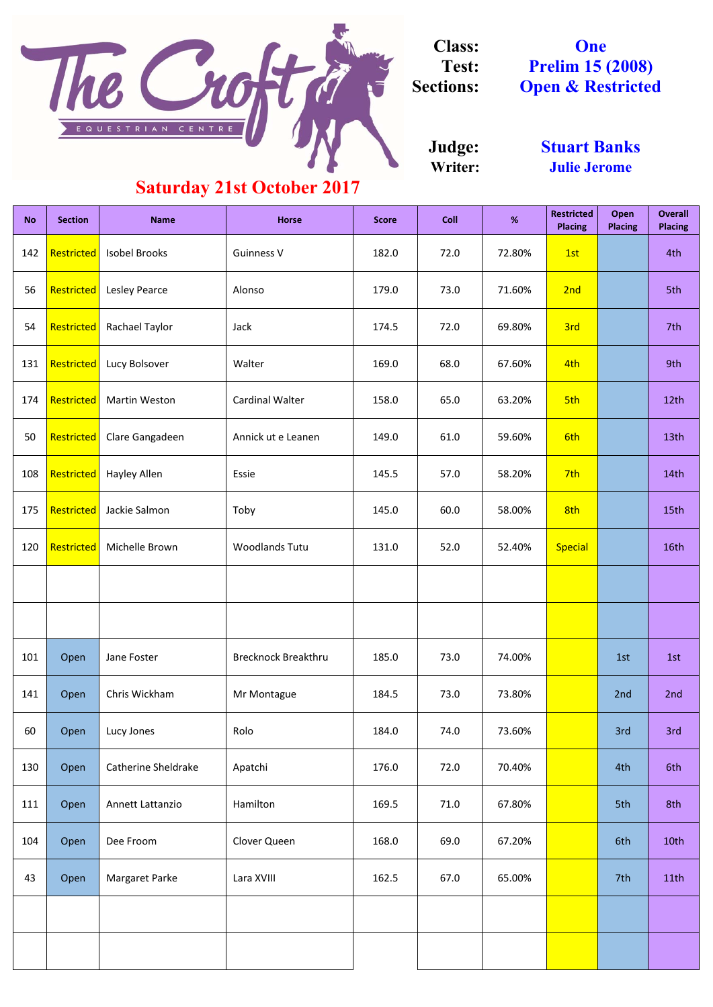| <b>No</b> | <b>Section</b>    | <b>Name</b>                | <b>Horse</b>               | <b>Score</b> | <b>Coll</b> | %      | <b>Restricted</b><br><b>Placing</b> | Open<br><b>Placing</b> | <b>Overall</b><br><b>Placing</b> |
|-----------|-------------------|----------------------------|----------------------------|--------------|-------------|--------|-------------------------------------|------------------------|----------------------------------|
| 142       | Restricted        | <b>Isobel Brooks</b>       | <b>Guinness V</b>          | 182.0        | 72.0        | 72.80% | 1st                                 |                        | 4th                              |
| 56        | Restricted        | Lesley Pearce              | Alonso                     | 179.0        | 73.0        | 71.60% | 2nd                                 |                        | 5th                              |
| 54        | Restricted        | Rachael Taylor             | Jack                       | 174.5        | 72.0        | 69.80% | 3rd                                 |                        | 7th                              |
| 131       | Restricted        | Lucy Bolsover              | Walter                     | 169.0        | 68.0        | 67.60% | 4th                                 |                        | 9th                              |
| 174       | Restricted        | <b>Martin Weston</b>       | <b>Cardinal Walter</b>     | 158.0        | 65.0        | 63.20% | 5th                                 |                        | 12th                             |
| 50        | Restricted        | Clare Gangadeen            | Annick ut e Leanen         | 149.0        | 61.0        | 59.60% | 6th                                 |                        | 13th                             |
| 108       | Restricted        | Hayley Allen               | Essie                      | 145.5        | 57.0        | 58.20% | 7th                                 |                        | 14th                             |
| 175       | Restricted        | Jackie Salmon              | Toby                       | 145.0        | 60.0        | 58.00% | 8th                                 |                        | 15th                             |
| 120       | <b>Restricted</b> | Michelle Brown             | <b>Woodlands Tutu</b>      | 131.0        | 52.0        | 52.40% | <b>Special</b>                      |                        | 16th                             |
|           |                   |                            |                            |              |             |        |                                     |                        |                                  |
|           |                   |                            |                            |              |             |        |                                     |                        |                                  |
| 101       | Open              | Jane Foster                | <b>Brecknock Breakthru</b> | 185.0        | 73.0        | 74.00% |                                     | 1st                    | 1st                              |
| 141       | Open              | Chris Wickham              | Mr Montague                | 184.5        | 73.0        | 73.80% |                                     | 2nd                    | 2nd                              |
| 60        | Open              | Lucy Jones                 | Rolo                       | 184.0        | 74.0        | 73.60% |                                     | 3rd                    | 3rd                              |
| 130       | Open              | <b>Catherine Sheldrake</b> | Apatchi                    | 176.0        | 72.0        | 70.40% |                                     | 4th                    | 6th                              |
| 111       | Open              | Annett Lattanzio           | Hamilton                   | 169.5        | 71.0        | 67.80% |                                     | 5th                    | 8th                              |
| 104       | Open              | Dee Froom                  | Clover Queen               | 168.0        | 69.0        | 67.20% |                                     | 6th                    | 10th                             |
| 43        | Open              | Margaret Parke             | Lara XVIII                 | 162.5        | 67.0        | 65.00% |                                     | 7th                    | 11th                             |
|           |                   |                            |                            |              |             |        |                                     |                        |                                  |
|           |                   |                            |                            |              |             |        |                                     |                        |                                  |

**Writer: Judge:**

**One Prelim 15 (2008) Open & Restricted**



**Class: Test: Sections:**

> **Stuart Banks Julie Jerome**

## **Saturday 21st October 2017**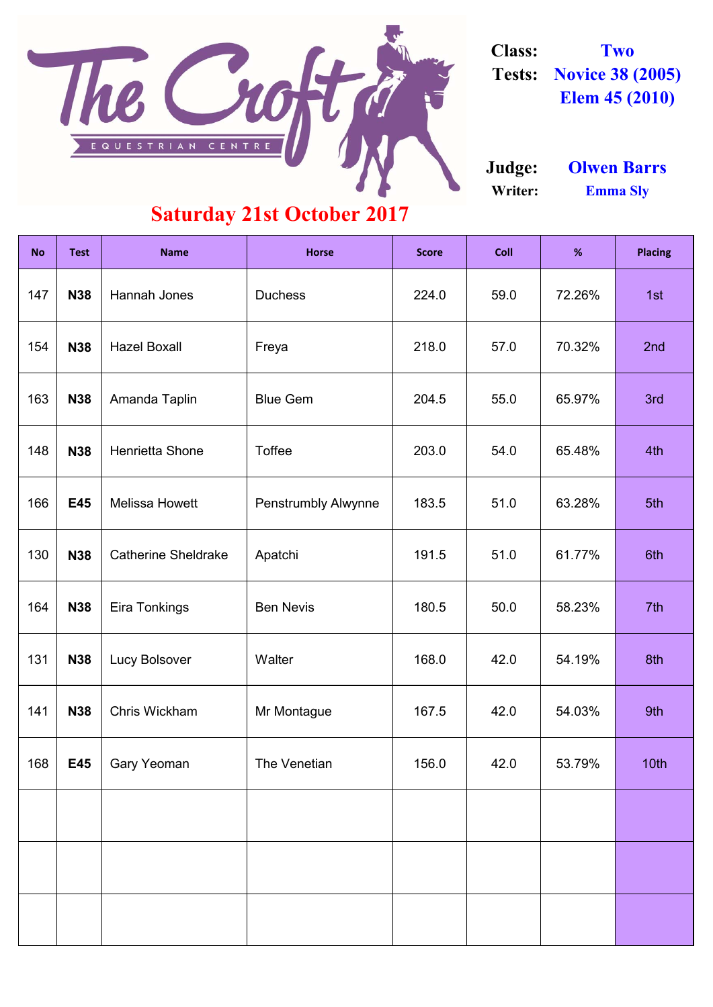| <b>No</b> | <b>Test</b> | <b>Name</b>                | <b>Horse</b>               | <b>Score</b> | <b>Coll</b> | %      | <b>Placing</b> |
|-----------|-------------|----------------------------|----------------------------|--------------|-------------|--------|----------------|
| 147       | <b>N38</b>  | Hannah Jones               | <b>Duchess</b>             | 224.0        | 59.0        | 72.26% | 1st            |
| 154       | <b>N38</b>  | <b>Hazel Boxall</b>        | Freya                      | 218.0        | 57.0        | 70.32% | 2nd            |
| 163       | <b>N38</b>  | Amanda Taplin              | <b>Blue Gem</b>            | 204.5        | 55.0        | 65.97% | 3rd            |
| 148       | <b>N38</b>  | <b>Henrietta Shone</b>     | <b>Toffee</b>              | 203.0        | 54.0        | 65.48% | 4th            |
| 166       | E45         | <b>Melissa Howett</b>      | <b>Penstrumbly Alwynne</b> | 183.5        | 51.0        | 63.28% | 5th            |
| 130       | <b>N38</b>  | <b>Catherine Sheldrake</b> | Apatchi                    | 191.5        | 51.0        | 61.77% | 6th            |
| 164       | <b>N38</b>  | Eira Tonkings              | <b>Ben Nevis</b>           | 180.5        | 50.0        | 58.23% | 7th            |
| 131       | <b>N38</b>  | <b>Lucy Bolsover</b>       | Walter                     | 168.0        | 42.0        | 54.19% | 8th            |
| 141       | <b>N38</b>  | Chris Wickham              | Mr Montague                | 167.5        | 42.0        | 54.03% | 9th            |
| 168       | E45         | <b>Gary Yeoman</b>         | The Venetian               | 156.0        | 42.0        | 53.79% | 10th           |
|           |             |                            |                            |              |             |        |                |
|           |             |                            |                            |              |             |        |                |
|           |             |                            |                            |              |             |        |                |



**Class: Two Tests: Novice 38 (2005) Elem 45 (2010)**

**Writer: Emma Sly Judge: Olwen Barrs**

## **Saturday 21st October 2017**